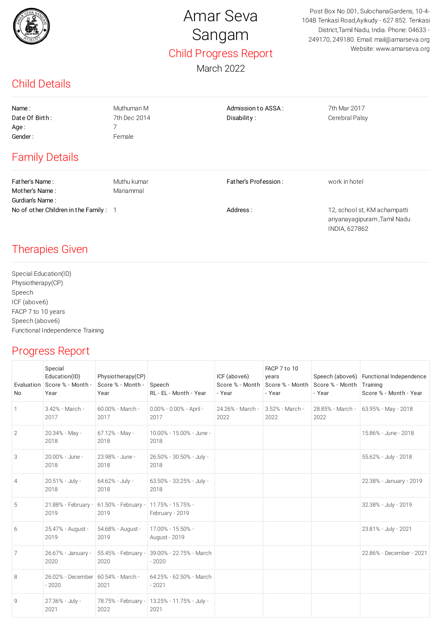

## Amar Seva Sangam Child Progress Report

March 2022

Post Box No.001, SulochanaGardens, 10-4- 104B Tenkasi Road,Ayikudy - 627 852. Tenkasi District,Tamil Nadu, India. Phone: 04633 - 249170, 249180. Email: mail@amarseva.org Website: www.amarseva.org

## Child Details

| Name:                 | Muthumari M  | Admission to ASSA:   | 7th Mar 2017   |  |
|-----------------------|--------------|----------------------|----------------|--|
| Date Of Birth:        | 7th Dec 2014 | Disability:          | Cerebral Palsy |  |
| Age:                  |              |                      |                |  |
| Gender:               | Female       |                      |                |  |
| <b>Family Details</b> |              |                      |                |  |
| Father's Name:        | Muthu kumar  | Father's Profession: | work in hotel  |  |
| Mother's Name:        | Mariammal    |                      |                |  |

No of other Children in the Family : 1 1 2, school st, KM achampatti ariyanayagipuram ,Tamil Nadu INDIA, 627862

## Therapies Given

Gurdian's Name :

Special Education(ID) Physiotherapy(CP) Speech ICF (above6) FACP 7 to 10 years Speech (above6) Functional Independence Training

## Progress Report

| No             | Special<br>Education(ID)<br>Evaluation   Score % - Month -<br>Year | Physiotherapy(CP)<br>Score % - Month -<br>Year | Speech<br>RL - EL - Month - Year                       | ICF (above6)<br>Score % - Month   Score % - Month<br>- Year | FACP 7 to 10<br>years<br>- Year | Score % - Month<br>- Year | Speech (above6) Functional Independence<br>Training<br>Score % - Month - Year |
|----------------|--------------------------------------------------------------------|------------------------------------------------|--------------------------------------------------------|-------------------------------------------------------------|---------------------------------|---------------------------|-------------------------------------------------------------------------------|
| 1              | 3.42% - March -<br>2017                                            | 60.00% - March -<br>2017                       | 0.00% - 0.00% - April -<br>2017                        | 24.26% - March -<br>2022                                    | 3.52% - March -<br>2022         | 28.85% - March -<br>2022  | 63.95% - May - 2018                                                           |
| 2              | 20.34% - May -<br>2018                                             | 67.12% - May -<br>2018                         | 10.00% - 15.00% - June -<br>2018                       |                                                             |                                 |                           | 15.86% - June - 2018                                                          |
| 3              | 20.00% - June -<br>2018                                            | 23.98% - June -<br>2018                        | 26.50% - 30.50% - July -<br>2018                       |                                                             |                                 |                           | 55.62% - July - 2018                                                          |
| $\overline{4}$ | 20.51% - July -<br>2018                                            | 64.62% - July -<br>2018                        | 63.50% - 33.25% - July -<br>2018                       |                                                             |                                 |                           | 22.38% - January - 2019                                                       |
| 5              | 21.88% - February -<br>2019                                        | 61.50% - February - 11.75% - 15.75% -<br>2019  | February - 2019                                        |                                                             |                                 |                           | 32.38% - July - 2019                                                          |
| 6              | 25.47% - August -<br>2019                                          | 54.68% - August -<br>2019                      | 17.00% - 15.50% -<br>August - 2019                     |                                                             |                                 |                           | 23.81% - July - 2021                                                          |
| 7              | 26.67% - January -<br>2020                                         | 55.45% - February -<br>2020                    | 39.00% - 22.75% - March<br>$-2020$                     |                                                             |                                 |                           | 22.86% - December - 2021                                                      |
| 8              | 26.02% - December   60.54% - March -<br>$-2020$                    | 2021                                           | 64.25% - 62.50% - March<br>$-2021$                     |                                                             |                                 |                           |                                                                               |
| $\mathbf{Q}$   | 27.36% - July -<br>2021                                            | 2022                                           | 78.75% - February -   13.25% - 11.75% - July -<br>2021 |                                                             |                                 |                           |                                                                               |